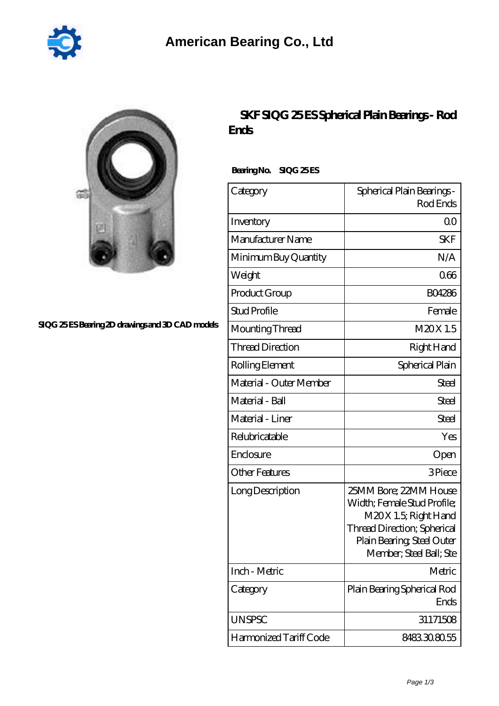

## **[SIQG 25 ES Bearing 2D drawings and 3D CAD models](https://2reflex.de/pic-256161.html)**

## **[SKF SIQG 25 ES Spherical Plain Bearings - Rod](https://2reflex.de/bb-256161-skf-siqg-25-es-spherical-plain-bearings-rod-ends.html) [Ends](https://2reflex.de/bb-256161-skf-siqg-25-es-spherical-plain-bearings-rod-ends.html)**

Bearing No. SIQG 25 ES

| Category                | Spherical Plain Bearings -<br>Rod Ends                                                                                                                               |
|-------------------------|----------------------------------------------------------------------------------------------------------------------------------------------------------------------|
| Inventory               | Q0                                                                                                                                                                   |
| Manufacturer Name       | <b>SKF</b>                                                                                                                                                           |
| Minimum Buy Quantity    | N/A                                                                                                                                                                  |
| Weight                  | 066                                                                                                                                                                  |
| Product Group           | <b>BO4286</b>                                                                                                                                                        |
| <b>Stud Profile</b>     | Female                                                                                                                                                               |
| Mounting Thread         | M20X1.5                                                                                                                                                              |
| <b>Thread Direction</b> | Right Hand                                                                                                                                                           |
| Rolling Element         | Spherical Plain                                                                                                                                                      |
| Material - Outer Member | <b>Steel</b>                                                                                                                                                         |
| Material - Ball         | <b>Steel</b>                                                                                                                                                         |
| Material - Liner        | Steel                                                                                                                                                                |
| Relubricatable          | Yes                                                                                                                                                                  |
| Enclosure               | Open                                                                                                                                                                 |
| <b>Other Features</b>   | 3Piece                                                                                                                                                               |
| Long Description        | 25MM Bore; 22MM House<br>Width; Female Stud Profile;<br>M20X 1.5; Right Hand<br>Thread Direction; Spherical<br>Plain Bearing, Steel Outer<br>Member, Steel Ball; Ste |
| Inch - Metric           | Metric                                                                                                                                                               |
| Category                | Plain Bearing Spherical Rod<br>Ends                                                                                                                                  |
| <b>UNSPSC</b>           | 31171508                                                                                                                                                             |
| Harmonized Tariff Code  | 8483308055                                                                                                                                                           |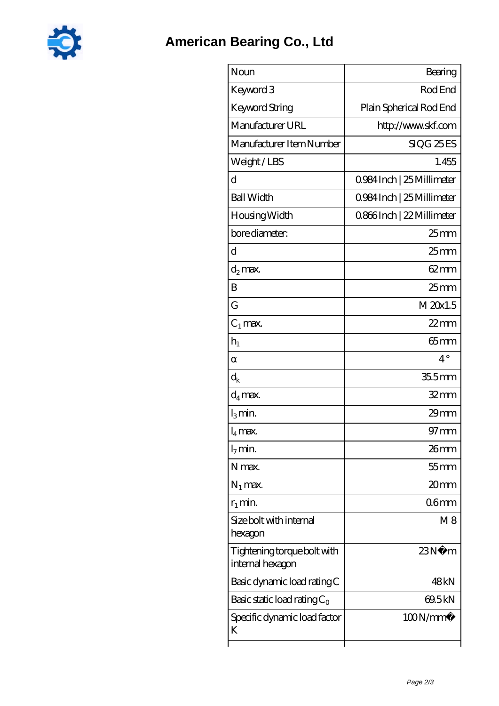

| Noun                                            | Bearing                    |
|-------------------------------------------------|----------------------------|
| Keyword 3                                       | Rod End                    |
| <b>Keyword String</b>                           | Plain Spherical Rod End    |
| Manufacturer URL                                | http://www.skf.com         |
| Manufacturer Item Number                        | SIQG 25ES                  |
| Weight/LBS                                      | 1.455                      |
| d                                               | 0.984 Inch   25 Millimeter |
| <b>Ball Width</b>                               | 0.984 Inch   25 Millimeter |
| Housing Width                                   | 0.866Inch   22 Millimeter  |
| bore diameter:                                  | $25$ mm                    |
| d                                               | $25 \text{mm}$             |
| d <sub>2</sub> max.                             | $62 \text{mm}$             |
| B                                               | $25$ mm                    |
| G                                               | M 20x1.5                   |
| $C_1$ max.                                      | $22$ mm                    |
| $h_1$                                           | $65 \text{mm}$             |
|                                                 | $4^{\circ}$                |
| $\mathrm{d}_{\mathsf{k}}$                       | 355mm                      |
| $\mathrm{d}_4$ max.                             | $32$ mm                    |
| $l_3$ min.                                      | $29$ mm                    |
| $l_4$ max.                                      | $97$ mm                    |
| $l_7$ min.                                      | 26mm                       |
| N max.                                          | 55 mm                      |
| $N_1$ max.                                      | 20mm                       |
| $r_1$ min.                                      | 06 <sub>mm</sub>           |
| Size bolt with internal<br>hexagon              | M8                         |
| Tightening torque bolt with<br>internal hexagon | 23N<br>m                   |
| Basic dynamic load rating C                     | 48kN                       |
| Basic static load rating $C_0$                  | 69.5kN                     |
| Specific dynamic load factor<br>K               | 100N/mm <sup>2</sup>       |
|                                                 |                            |